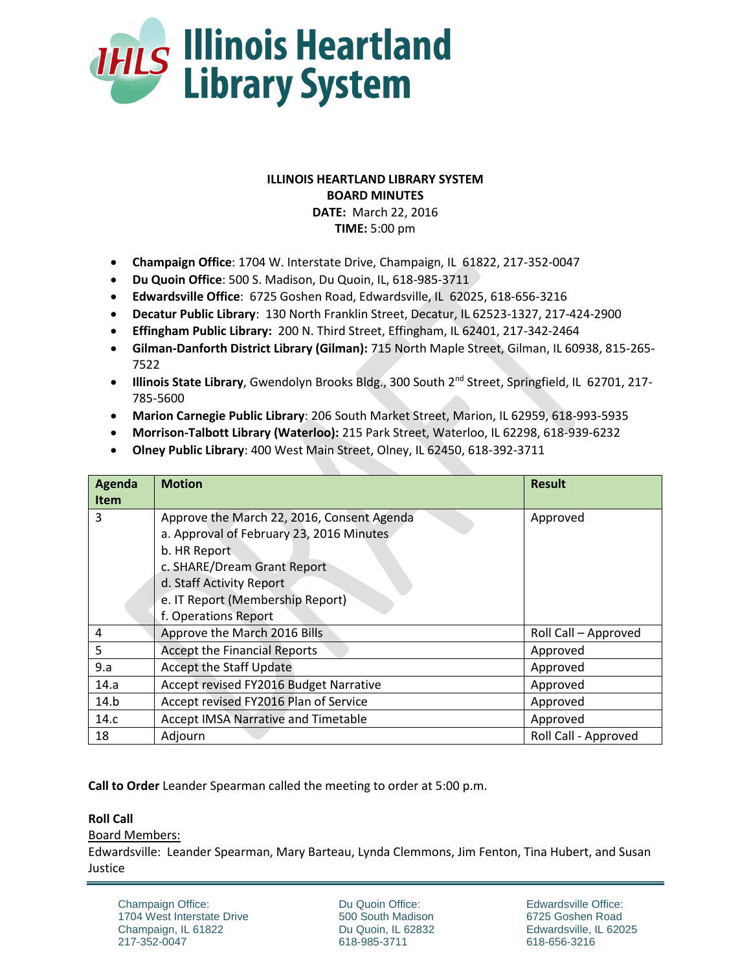

# **ILLINOIS HEARTLAND LIBRARY SYSTEM BOARD MINUTES DATE:** March 22, 2016 **TIME:** 5:00 pm

- **Champaign Office**: 1704 W. Interstate Drive, Champaign, IL 61822, 217-352-0047
- **Du Quoin Office**: 500 S. Madison, Du Quoin, IL, 618-985-3711
- **Edwardsville Office**: 6725 Goshen Road, Edwardsville, IL 62025, 618-656-3216
- **Decatur Public Library**: 130 North Franklin Street, Decatur, IL 62523-1327, 217-424-2900
- **Effingham Public Library:** 200 N. Third Street, Effingham, IL 62401, 217-342-2464
- **Gilman-Danforth District Library (Gilman):** 715 North Maple Street, Gilman, IL 60938, 815-265- 7522
- **Illinois State Library**, Gwendolyn Brooks Bldg., 300 South 2<sup>nd</sup> Street, Springfield, IL 62701, 217-785-5600
- **Marion Carnegie Public Library**: 206 South Market Street, Marion, IL 62959, 618-993-5935
- **Morrison-Talbott Library (Waterloo):** 215 Park Street, Waterloo, IL 62298, 618-939-6232
- **Olney Public Library**: 400 West Main Street, Olney, IL 62450, 618-392-3711

| Agenda      | <b>Motion</b>                              | <b>Result</b>        |
|-------------|--------------------------------------------|----------------------|
| <b>Item</b> |                                            |                      |
| 3           | Approve the March 22, 2016, Consent Agenda | Approved             |
|             | a. Approval of February 23, 2016 Minutes   |                      |
|             | b. HR Report                               |                      |
|             | c. SHARE/Dream Grant Report                |                      |
|             | d. Staff Activity Report                   |                      |
|             | e. IT Report (Membership Report)           |                      |
|             | f. Operations Report                       |                      |
| 4           | Approve the March 2016 Bills               | Roll Call - Approved |
| 5           | <b>Accept the Financial Reports</b>        | Approved             |
| 9.a         | <b>Accept the Staff Update</b>             | Approved             |
| 14.a        | Accept revised FY2016 Budget Narrative     | Approved             |
| 14.b        | Accept revised FY2016 Plan of Service      | Approved             |
| 14.c        | Accept IMSA Narrative and Timetable        | Approved             |
| 18          | Adjourn                                    | Roll Call - Approved |

**Call to Order** Leander Spearman called the meeting to order at 5:00 p.m.

## **Roll Call**

Board Members:

Edwardsville: Leander Spearman, Mary Barteau, Lynda Clemmons, Jim Fenton, Tina Hubert, and Susan Justice

Champaign Office: 1704 West Interstate Drive Champaign, IL 61822 217-352-0047

Du Quoin Office: 500 South Madison Du Quoin, IL 62832 618-985-3711

Edwardsville Office: 6725 Goshen Road Edwardsville, IL 62025 618-656-3216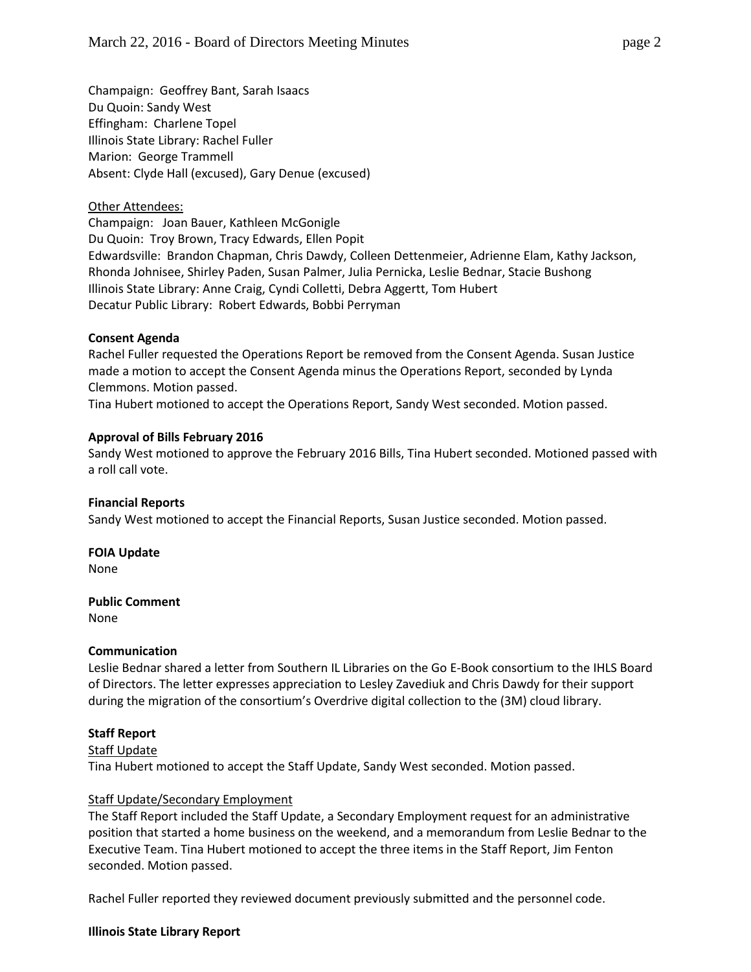Champaign: Geoffrey Bant, Sarah Isaacs Du Quoin: Sandy West Effingham: Charlene Topel Illinois State Library: Rachel Fuller Marion: George Trammell Absent: Clyde Hall (excused), Gary Denue (excused)

#### Other Attendees:

Champaign: Joan Bauer, Kathleen McGonigle Du Quoin: Troy Brown, Tracy Edwards, Ellen Popit Edwardsville: Brandon Chapman, Chris Dawdy, Colleen Dettenmeier, Adrienne Elam, Kathy Jackson, Rhonda Johnisee, Shirley Paden, Susan Palmer, Julia Pernicka, Leslie Bednar, Stacie Bushong Illinois State Library: Anne Craig, Cyndi Colletti, Debra Aggertt, Tom Hubert Decatur Public Library: Robert Edwards, Bobbi Perryman

#### **Consent Agenda**

Rachel Fuller requested the Operations Report be removed from the Consent Agenda. Susan Justice made a motion to accept the Consent Agenda minus the Operations Report, seconded by Lynda Clemmons. Motion passed.

Tina Hubert motioned to accept the Operations Report, Sandy West seconded. Motion passed.

#### **Approval of Bills February 2016**

Sandy West motioned to approve the February 2016 Bills, Tina Hubert seconded. Motioned passed with a roll call vote.

#### **Financial Reports**

Sandy West motioned to accept the Financial Reports, Susan Justice seconded. Motion passed.

## **FOIA Update**

None

#### **Public Comment**

None

#### **Communication**

Leslie Bednar shared a letter from Southern IL Libraries on the Go E-Book consortium to the IHLS Board of Directors. The letter expresses appreciation to Lesley Zavediuk and Chris Dawdy for their support during the migration of the consortium's Overdrive digital collection to the (3M) cloud library.

## **Staff Report**

#### Staff Update

Tina Hubert motioned to accept the Staff Update, Sandy West seconded. Motion passed.

#### Staff Update/Secondary Employment

The Staff Report included the Staff Update, a Secondary Employment request for an administrative position that started a home business on the weekend, and a memorandum from Leslie Bednar to the Executive Team. Tina Hubert motioned to accept the three items in the Staff Report, Jim Fenton seconded. Motion passed.

Rachel Fuller reported they reviewed document previously submitted and the personnel code.

## **Illinois State Library Report**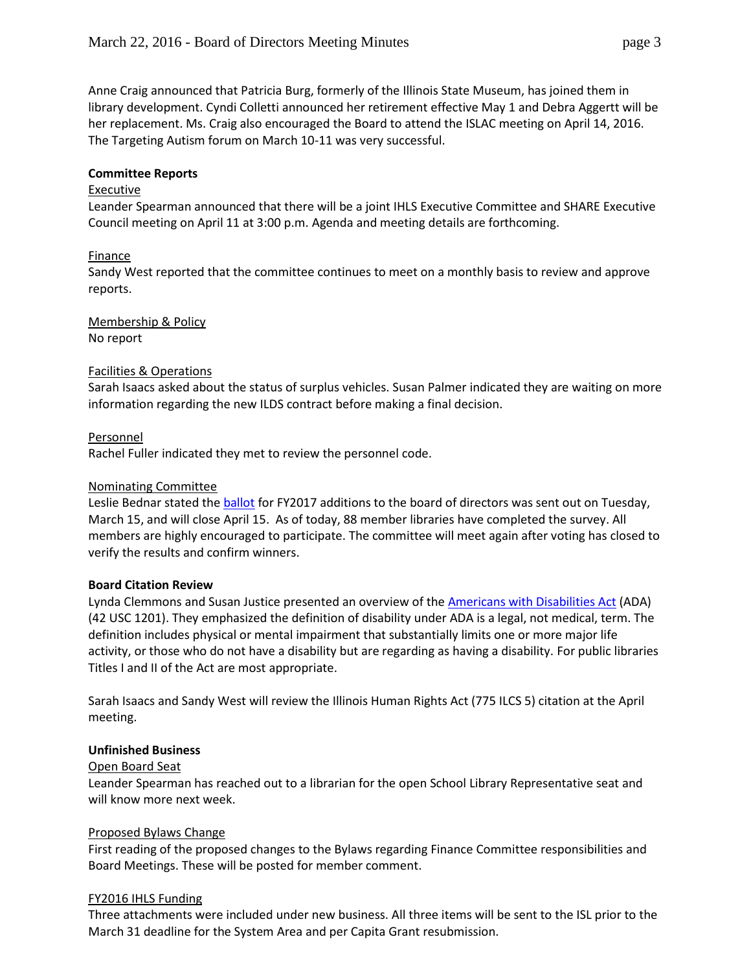Anne Craig announced that Patricia Burg, formerly of the Illinois State Museum, has joined them in library development. Cyndi Colletti announced her retirement effective May 1 and Debra Aggertt will be her replacement. Ms. Craig also encouraged the Board to attend the ISLAC meeting on April 14, 2016. The Targeting Autism forum on March 10-11 was very successful.

## **Committee Reports**

## Executive

Leander Spearman announced that there will be a joint IHLS Executive Committee and SHARE Executive Council meeting on April 11 at 3:00 p.m. Agenda and meeting details are forthcoming.

# Finance

Sandy West reported that the committee continues to meet on a monthly basis to review and approve reports.

Membership & Policy No report

## Facilities & Operations

Sarah Isaacs asked about the status of surplus vehicles. Susan Palmer indicated they are waiting on more information regarding the new ILDS contract before making a final decision.

## Personnel

Rachel Fuller indicated they met to review the personnel code.

## Nominating Committee

Leslie Bednar stated the **ballot** for FY2017 additions to the board of directors was sent out on Tuesday, March 15, and will close April 15. As of today, 88 member libraries have completed the survey. All members are highly encouraged to participate. The committee will meet again after voting has closed to verify the results and confirm winners.

## **Board Citation Review**

Lynda Clemmons and Susan Justice presented an overview of the [Americans with Disabilities Act](http://www.ada.gov/) (ADA) (42 USC 1201). They emphasized the definition of disability under ADA is a legal, not medical, term. The definition includes physical or mental impairment that substantially limits one or more major life activity, or those who do not have a disability but are regarding as having a disability. For public libraries Titles I and II of the Act are most appropriate.

Sarah Isaacs and Sandy West will review the Illinois Human Rights Act (775 ILCS 5) citation at the April meeting.

## **Unfinished Business**

## Open Board Seat

Leander Spearman has reached out to a librarian for the open School Library Representative seat and will know more next week.

## Proposed Bylaws Change

First reading of the proposed changes to the Bylaws regarding Finance Committee responsibilities and Board Meetings. These will be posted for member comment.

## FY2016 IHLS Funding

Three attachments were included under new business. All three items will be sent to the ISL prior to the March 31 deadline for the System Area and per Capita Grant resubmission.